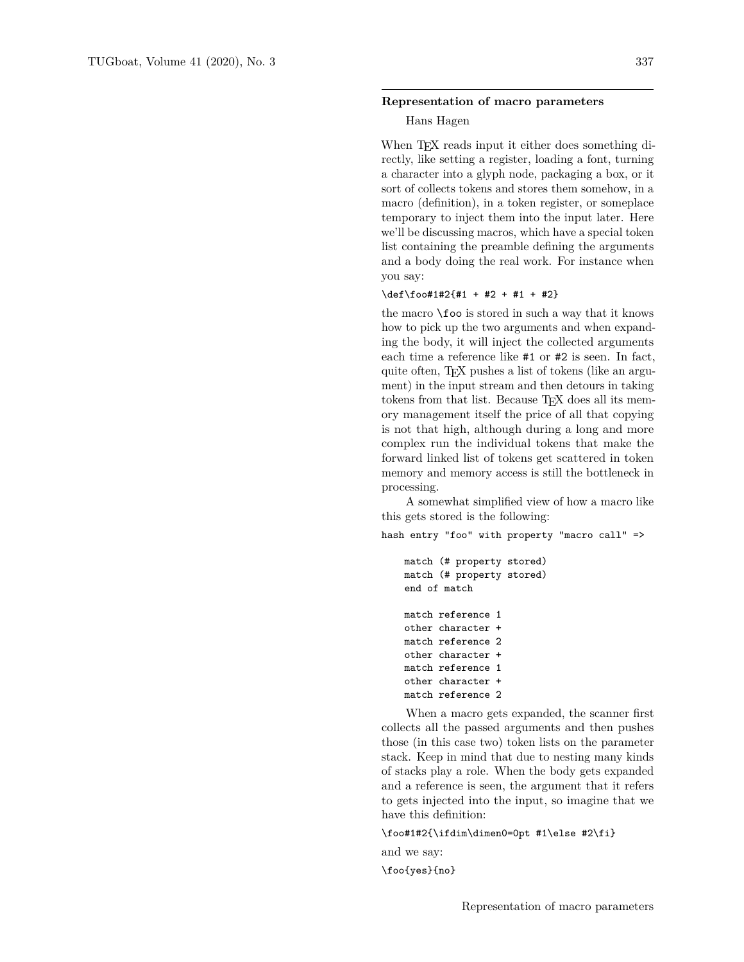#### **Representation of macro parameters**

### Hans Hagen

When T<sub>E</sub>X reads input it either does something directly, like setting a register, loading a font, turning a character into a glyph node, packaging a box, or it sort of collects tokens and stores them somehow, in a macro (definition), in a token register, or someplace temporary to inject them into the input later. Here we'll be discussing macros, which have a special token list containing the preamble defining the arguments and a body doing the real work. For instance when you say:

#### \def\foo#1#2{#1 + #2 + #1 + #2}

the macro \foo is stored in such a way that it knows how to pick up the two arguments and when expanding the body, it will inject the collected arguments each time a reference like #1 or #2 is seen. In fact, quite often, TEX pushes a list of tokens (like an argument) in the input stream and then detours in taking tokens from that list. Because T<sub>F</sub>X does all its memory management itself the price of all that copying is not that high, although during a long and more complex run the individual tokens that make the forward linked list of tokens get scattered in token memory and memory access is still the bottleneck in processing.

A somewhat simplified view of how a macro like this gets stored is the following:

hash entry "foo" with property "macro call" =>

```
match (# property stored)
match (# property stored)
end of match
match reference 1
other character +
match reference 2
other character +
match reference 1
other character +
match reference 2
```
When a macro gets expanded, the scanner first collects all the passed arguments and then pushes those (in this case two) token lists on the parameter stack. Keep in mind that due to nesting many kinds of stacks play a role. When the body gets expanded and a reference is seen, the argument that it refers to gets injected into the input, so imagine that we have this definition:

### \foo#1#2{\ifdim\dimen0=0pt #1\else #2\fi}

and we say: \foo{yes}{no}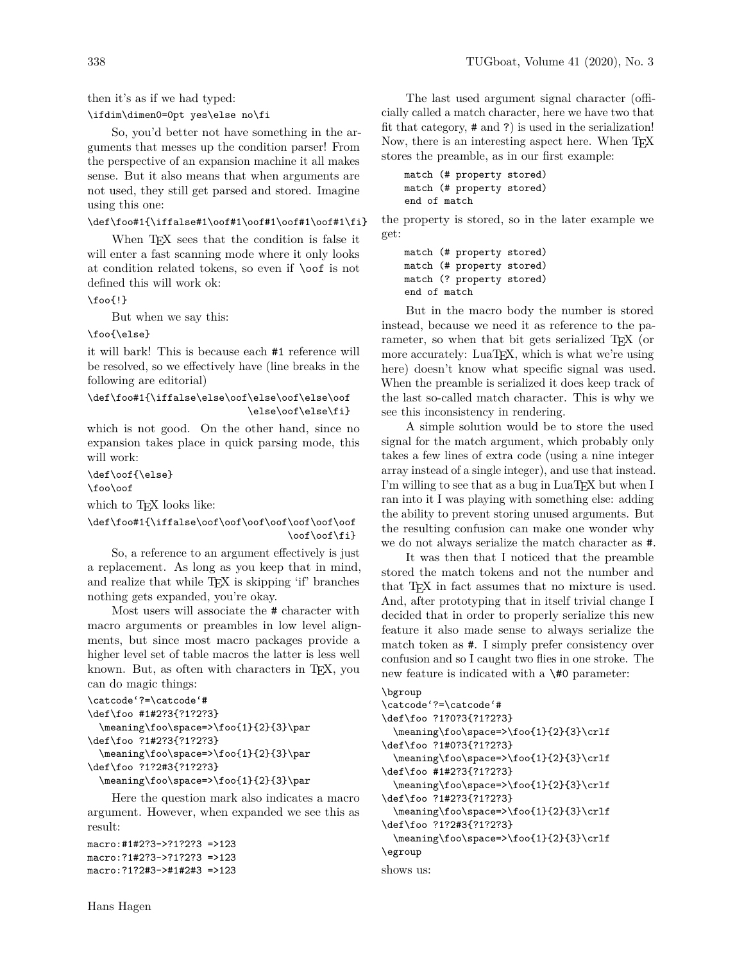then it's as if we had typed:

### \ifdim\dimen0=0pt yes\else no\fi

So, you'd better not have something in the arguments that messes up the condition parser! From the perspective of an expansion machine it all makes sense. But it also means that when arguments are not used, they still get parsed and stored. Imagine using this one:

#### \def\foo#1{\iffalse#1\oof#1\oof#1\oof#1\oof#1\fi}

When T<sub>E</sub>X sees that the condition is false it will enter a fast scanning mode where it only looks at condition related tokens, so even if \oof is not defined this will work ok:

# \foo{!}

But when we say this:

# \foo{\else}

it will bark! This is because each #1 reference will be resolved, so we effectively have (line breaks in the following are editorial)

#### \def\foo#1{\iffalse\else\oof\else\oof\else\oof\ \else\oof\else\fi}

which is not good. On the other hand, since no expansion takes place in quick parsing mode, this will work:

\def\oof{\else} \foo\oof

which to TFX looks like:

### \def\foo#1{\iffalse\oof\oof\oof\oof\oof\oof\oof \oof\oof\fi}

So, a reference to an argument effectively is just a replacement. As long as you keep that in mind, and realize that while T<sub>E</sub>X is skipping 'if' branches nothing gets expanded, you're okay.

Most users will associate the # character with macro arguments or preambles in low level alignments, but since most macro packages provide a higher level set of table macros the latter is less well known. But, as often with characters in TEX, you can do magic things:

```
\catcode'?=\catcode'#
\def\foo #1#2?3{?1?2?3}
  \meaning\foo\space=>\foo{1}{2}{3}\par
\def\foo ?1#2?3{?1?2?3}
  \meaning\foo\space=>\foo{1}{2}{3}\par
\def\foo ?1?2#3{?1?2?3}
```
\meaning\foo\space=>\foo{1}{2}{3}\par

Here the question mark also indicates a macro argument. However, when expanded we see this as result:

macro:#1#2?3->?1?2?3 =>123 macro:?1#2?3->?1?2?3 =>123 macro:?1?2#3->#1#2#3 =>123

The last used argument signal character (officially called a match character, here we have two that fit that category, # and ?) is used in the serialization! Now, there is an interesting aspect here. When TEX stores the preamble, as in our first example:

```
match (# property stored)
match (# property stored)
end of match
```
the property is stored, so in the later example we get:

```
match (# property stored)
match (# property stored)
match (? property stored)
end of match
```
But in the macro body the number is stored instead, because we need it as reference to the parameter, so when that bit gets serialized T<sub>E</sub>X (or more accurately: LuaTEX, which is what we're using here) doesn't know what specific signal was used. When the preamble is serialized it does keep track of the last so-called match character. This is why we see this inconsistency in rendering.

A simple solution would be to store the used signal for the match argument, which probably only takes a few lines of extra code (using a nine integer array instead of a single integer), and use that instead. I'm willing to see that as a bug in LuaT<sub>EX</sub> but when I ran into it I was playing with something else: adding the ability to prevent storing unused arguments. But the resulting confusion can make one wonder why we do not always serialize the match character as #.

It was then that I noticed that the preamble stored the match tokens and not the number and that T<sub>F</sub>X in fact assumes that no mixture is used. And, after prototyping that in itself trivial change I decided that in order to properly serialize this new feature it also made sense to always serialize the match token as #. I simply prefer consistency over confusion and so I caught two flies in one stroke. The new feature is indicated with a \#0 parameter:

```
\bgroup
```

```
\catcode'?=\catcode'#
\def\foo ?1?0?3{?1?2?3}
  \meaning\foo\space=>\foo{1}{2}{3}\crlf
\def\foo ?1#0?3{?1?2?3}
  \meaning\foo\space=>\foo{1}{2}{3}\crlf
\def\foo #1#2?3{?1?2?3}
  \meaning\foo\space=>\foo{1}{2}{3}\crlf
\def\foo ?1#2?3{?1?2?3}
  \meaning\foo\space=>\foo{1}{2}{3}\crlf
\def\foo ?1?2#3{?1?2?3}
  \meaning\foo\space=>\foo{1}{2}{3}\crlf
\egroup
shows us:
```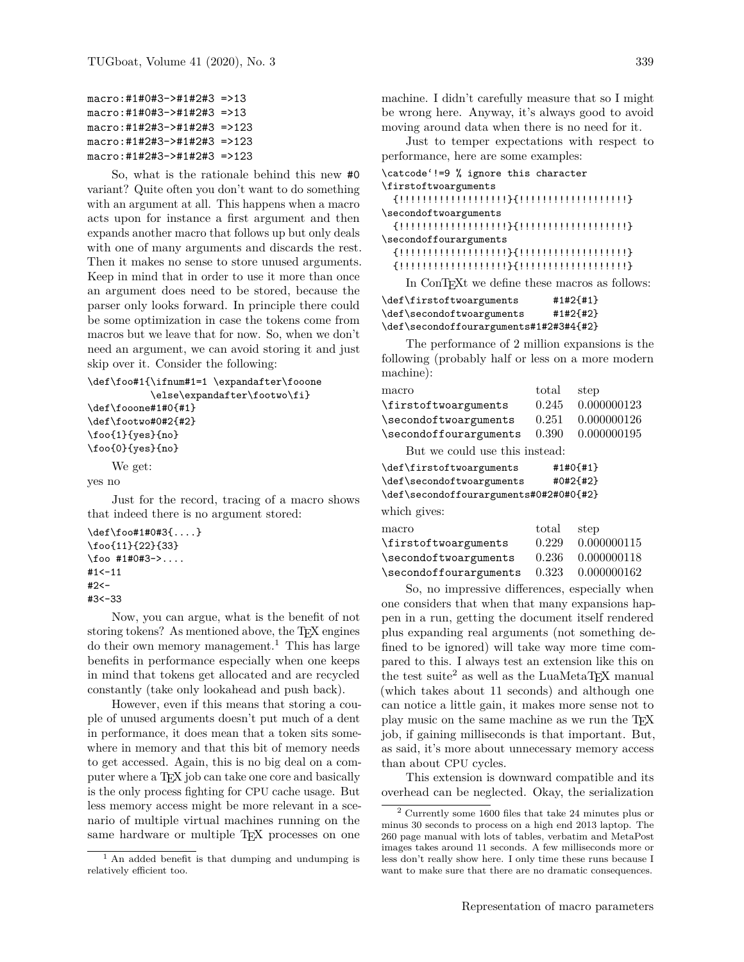```
macro:#1#0#3->#1#2#3 =>13
macro:#1#0#3->#1#2#3 =>13
macro:#1#2#3->#1#2#3 =>123
macro:#1#2#3->#1#2#3 =>123
macro:#1#2#3->#1#2#3 =>123
```
So, what is the rationale behind this new #0 variant? Quite often you don't want to do something with an argument at all. This happens when a macro acts upon for instance a first argument and then expands another macro that follows up but only deals with one of many arguments and discards the rest. Then it makes no sense to store unused arguments. Keep in mind that in order to use it more than once an argument does need to be stored, because the parser only looks forward. In principle there could be some optimization in case the tokens come from macros but we leave that for now. So, when we don't need an argument, we can avoid storing it and just skip over it. Consider the following:

```
\def\foo#1{\ifnum#1=1 \expandafter\fooone
           \else\expandafter\footwo\fi}
\def\fooone#1#0{#1}
```

```
\def\footwo#0#2{#2}
\foo{1}{yes}{no}
\foo{0}{yes}{no}
```
We get:

yes no

Just for the record, tracing of a macro shows that indeed there is no argument stored:

```
\def\foo#1#0#3{....}
\foo{11}{22}{33}
\binom{41}{40+3-2}....
#1 < -11#2<-
#3<-33
```
Now, you can argue, what is the benefit of not storing tokens? As mentioned above, the T<sub>E</sub>X engines do their own memory management.<sup>[1](#page-2-0)</sup> This has large benefits in performance especially when one keeps in mind that tokens get allocated and are recycled constantly (take only lookahead and push back).

However, even if this means that storing a couple of unused arguments doesn't put much of a dent in performance, it does mean that a token sits somewhere in memory and that this bit of memory needs to get accessed. Again, this is no big deal on a computer where a T<sub>E</sub>X job can take one core and basically is the only process fighting for CPU cache usage. But less memory access might be more relevant in a scenario of multiple virtual machines running on the same hardware or multiple TEX processes on one

machine. I didn't carefully measure that so I might be wrong here. Anyway, it's always good to avoid moving around data when there is no need for it.

Just to temper expectations with respect to performance, here are some examples:

| \catcode'!=9 % ignore this character          |
|-----------------------------------------------|
| \firstoftwoarguments                          |
|                                               |
| \secondoftwoarguments                         |
|                                               |
| \secondoffourarguments                        |
|                                               |
|                                               |
| In ConTFXt we define these macros as follows: |
| $#1#2{H1}$<br>\def\firstoftwoarguments        |

| \def\firstoftwoarguments               | #1#21#11   |  |  |
|----------------------------------------|------------|--|--|
| \def\secondoftwoarguments              | $#1#2{#2}$ |  |  |
| \def\secondoffourarguments#1#2#3#4{#2} |            |  |  |

The performance of 2 million expansions is the following (probably half or less on a more modern machine):

| macro                          | total | step               |
|--------------------------------|-------|--------------------|
| \firstoftwoarguments           |       | 0.245 0.000000123  |
| \secondoftwoarguments          |       | 0.251 0.000000126  |
| \secondoffourarguments         |       | 0.390  0.000000195 |
| But we could use this instead: |       |                    |
|                                |       |                    |

| \def\firstoftwoarguments               |       | #1#0{#1}    |
|----------------------------------------|-------|-------------|
| \def\secondoftwoarguments              |       | #0#2{#2}    |
| \def\secondoffourarguments#0#2#0#0{#2} |       |             |
| which gives:                           |       |             |
| macro                                  | total | step        |
| \firstoftwoarguments                   | 0.229 | 0.000000115 |
| \secondoftwoarguments                  | 0.236 | 0.000000118 |
| \secondoffourarguments                 | 0.323 | 0.000000162 |

So, no impressive differences, especially when one considers that when that many expansions happen in a run, getting the document itself rendered plus expanding real arguments (not something defined to be ignored) will take way more time compared to this. I always test an extension like this on the test suite<sup>[2](#page-2-1)</sup> as well as the LuaMetaT<sub>EX</sub> manual (which takes about 11 seconds) and although one can notice a little gain, it makes more sense not to play music on the same machine as we run the TFX job, if gaining milliseconds is that important. But, as said, it's more about unnecessary memory access than about CPU cycles.

This extension is downward compatible and its overhead can be neglected. Okay, the serialization

<span id="page-2-0"></span><sup>&</sup>lt;sup>1</sup> An added benefit is that dumping and undumping is relatively efficient too.

<span id="page-2-1"></span><sup>2</sup> Currently some 1600 files that take 24 minutes plus or minus 30 seconds to process on a high end 2013 laptop. The 260 page manual with lots of tables, verbatim and MetaPost images takes around 11 seconds. A few milliseconds more or less don't really show here. I only time these runs because I want to make sure that there are no dramatic consequences.